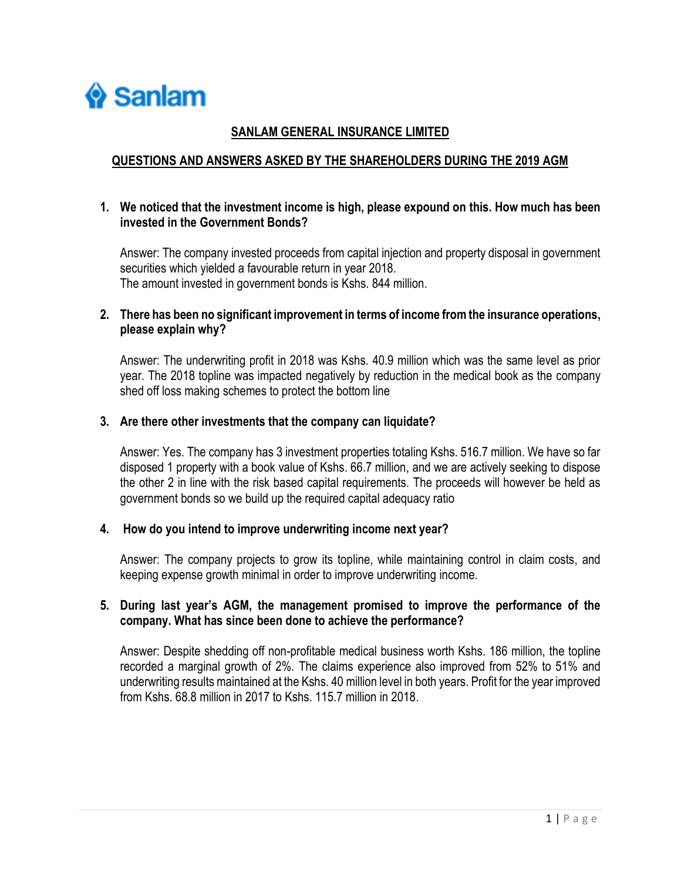

## **SANLAM GENERAL INSURANCE LIMITED**

## **QUESTIONS AND ANSWERS ASKED BY THE SHAREHOLDERS DURING THE 2019 AGM**

### **1. We noticed that the investment income is high, please expound on this. How much has been invested in the Government Bonds?**

Answer: The company invested proceeds from capital injection and property disposal in government securities which yielded a favourable return in year 2018. The amount invested in government bonds is Kshs. 844 million.

### **2. There has been no significant improvement in terms of income from the insurance operations, please explain why?**

Answer: The underwriting profit in 2018 was Kshs. 40.9 million which was the same level as prior year. The 2018 topline was impacted negatively by reduction in the medical book as the company shed off loss making schemes to protect the bottom line

#### **3. Are there other investments that the company can liquidate?**

Answer: Yes. The company has 3 investment properties totaling Kshs. 516.7 million. We have so far disposed 1 property with a book value of Kshs. 66.7 million, and we are actively seeking to dispose the other 2 in line with the risk based capital requirements. The proceeds will however be held as government bonds so we build up the required capital adequacy ratio

#### **4. How do you intend to improve underwriting income next year?**

Answer: The company projects to grow its topline, while maintaining control in claim costs, and keeping expense growth minimal in order to improve underwriting income.

### **5. During last year's AGM, the management promised to improve the performance of the company. What has since been done to achieve the performance?**

Answer: Despite shedding off non-profitable medical business worth Kshs. 186 million, the topline recorded a marginal growth of 2%. The claims experience also improved from 52% to 51% and underwriting results maintained at the Kshs. 40 million level in both years. Profit for the year improved from Kshs. 68.8 million in 2017 to Kshs. 115.7 million in 2018.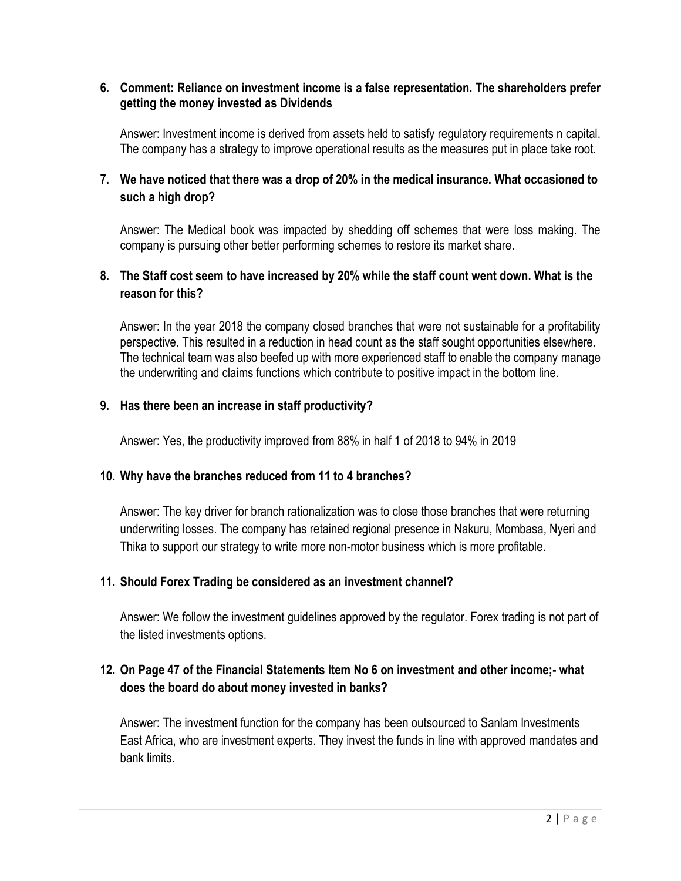### **6. Comment: Reliance on investment income is a false representation. The shareholders prefer getting the money invested as Dividends**

Answer: Investment income is derived from assets held to satisfy regulatory requirements n capital. The company has a strategy to improve operational results as the measures put in place take root.

# **7. We have noticed that there was a drop of 20% in the medical insurance. What occasioned to such a high drop?**

Answer: The Medical book was impacted by shedding off schemes that were loss making. The company is pursuing other better performing schemes to restore its market share.

# **8. The Staff cost seem to have increased by 20% while the staff count went down. What is the reason for this?**

Answer: In the year 2018 the company closed branches that were not sustainable for a profitability perspective. This resulted in a reduction in head count as the staff sought opportunities elsewhere. The technical team was also beefed up with more experienced staff to enable the company manage the underwriting and claims functions which contribute to positive impact in the bottom line.

### **9. Has there been an increase in staff productivity?**

Answer: Yes, the productivity improved from 88% in half 1 of 2018 to 94% in 2019

## **10. Why have the branches reduced from 11 to 4 branches?**

Answer: The key driver for branch rationalization was to close those branches that were returning underwriting losses. The company has retained regional presence in Nakuru, Mombasa, Nyeri and Thika to support our strategy to write more non-motor business which is more profitable.

## **11. Should Forex Trading be considered as an investment channel?**

Answer: We follow the investment guidelines approved by the regulator. Forex trading is not part of the listed investments options.

# **12. On Page 47 of the Financial Statements Item No 6 on investment and other income;- what does the board do about money invested in banks?**

Answer: The investment function for the company has been outsourced to Sanlam Investments East Africa, who are investment experts. They invest the funds in line with approved mandates and bank limits.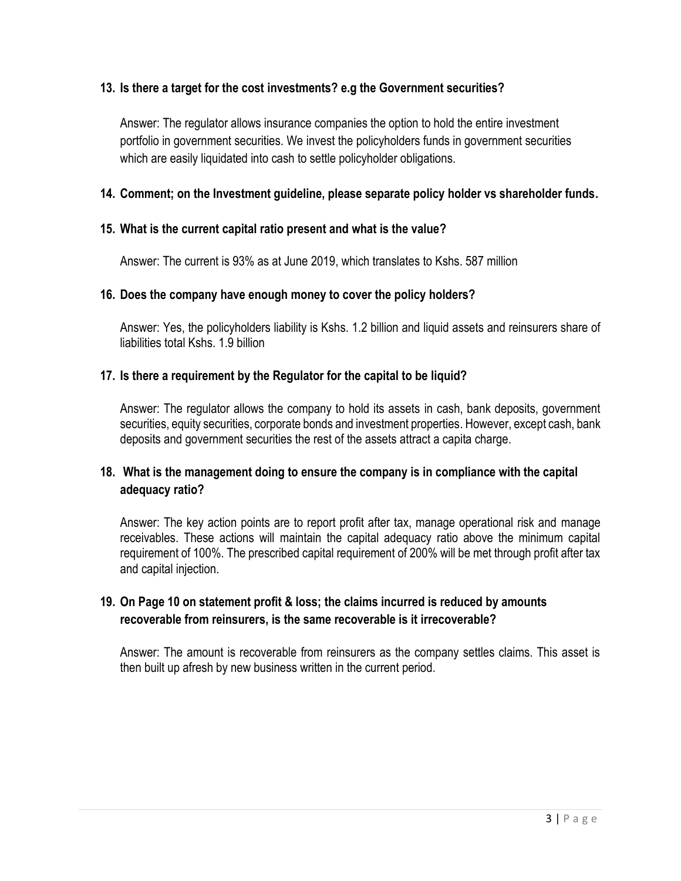## **13. Is there a target for the cost investments? e.g the Government securities?**

Answer: The regulator allows insurance companies the option to hold the entire investment portfolio in government securities. We invest the policyholders funds in government securities which are easily liquidated into cash to settle policyholder obligations.

# **14. Comment; on the Investment guideline, please separate policy holder vs shareholder funds.**

## **15. What is the current capital ratio present and what is the value?**

Answer: The current is 93% as at June 2019, which translates to Kshs. 587 million

### **16. Does the company have enough money to cover the policy holders?**

Answer: Yes, the policyholders liability is Kshs. 1.2 billion and liquid assets and reinsurers share of liabilities total Kshs. 1.9 billion

### **17. Is there a requirement by the Regulator for the capital to be liquid?**

Answer: The regulator allows the company to hold its assets in cash, bank deposits, government securities, equity securities, corporate bonds and investment properties. However, except cash, bank deposits and government securities the rest of the assets attract a capita charge.

# **18. What is the management doing to ensure the company is in compliance with the capital adequacy ratio?**

Answer: The key action points are to report profit after tax, manage operational risk and manage receivables. These actions will maintain the capital adequacy ratio above the minimum capital requirement of 100%. The prescribed capital requirement of 200% will be met through profit after tax and capital injection.

# **19. On Page 10 on statement profit & loss; the claims incurred is reduced by amounts recoverable from reinsurers, is the same recoverable is it irrecoverable?**

Answer: The amount is recoverable from reinsurers as the company settles claims. This asset is then built up afresh by new business written in the current period.